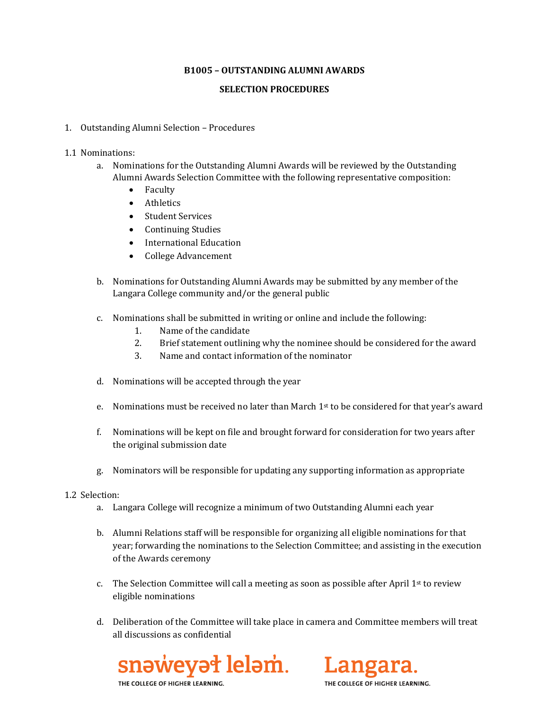## **B1005 – OUTSTANDING ALUMNI AWARDS**

## **SELECTION PROCEDURES**

- 1. Outstanding Alumni Selection Procedures
- 1.1 Nominations:
	- a. Nominations for the Outstanding Alumni Awards will be reviewed by the Outstanding Alumni Awards Selection Committee with the following representative composition:
		- Faculty
		- Athletics
		- Student Services
		- Continuing Studies
		- International Education
		- College Advancement
	- b. Nominations for Outstanding Alumni Awards may be submitted by any member of the Langara College community and/or the general public
	- c. Nominations shall be submitted in writing or online and include the following:
		- 1. Name of the candidate<br>2. Brief statement outlini
		- 2. Brief statement outlining why the nominee should be considered for the award<br>3. Name and contact information of the nominator
		- Name and contact information of the nominator
	- d. Nominations will be accepted through the year
	- e. Nominations must be received no later than March  $1<sup>st</sup>$  to be considered for that year's award
	- f. Nominations will be kept on file and brought forward for consideration for two years after the original submission date
	- g. Nominators will be responsible for updating any supporting information as appropriate
- 1.2 Selection:
	- a. Langara College will recognize a minimum of two Outstanding Alumni each year
	- b. Alumni Relations staff will be responsible for organizing all eligible nominations for that year; forwarding the nominations to the Selection Committee; and assisting in the execution of the Awards ceremony
	- c. The Selection Committee will call a meeting as soon as possible after April  $1<sup>st</sup>$  to review eligible nominations
	- d. Deliberation of the Committee will take place in camera and Committee members will treat all discussions as confidential





THE COLLEGE OF HIGHER LEARNIN